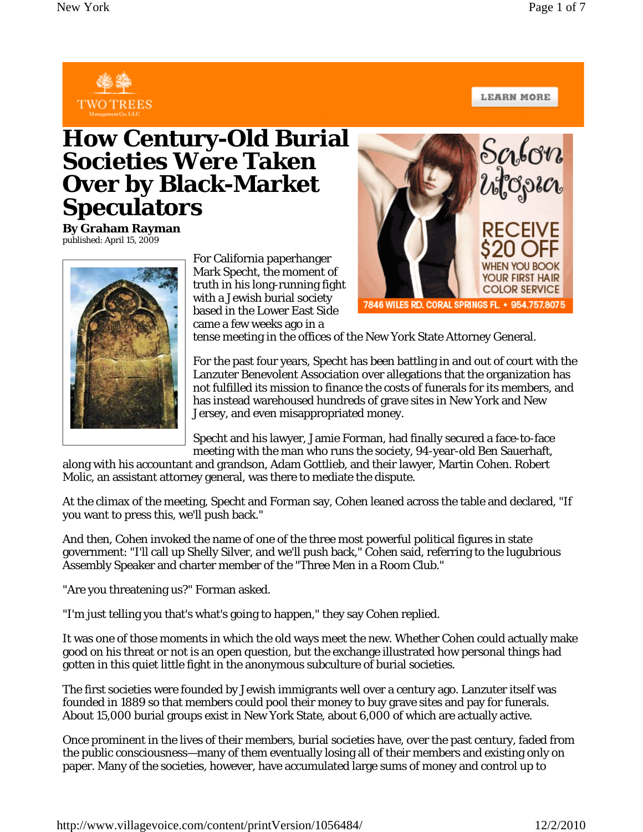

**LEARN MORE** 

## **How Century-Old Burial Societies Were Taken Over by Black-Market Speculators**

**By Graham Rayman** published: April 15, 2009



For California paperhanger Mark Specht, the moment of truth in his long-running fight with a Jewish burial society based in the Lower East Side came a few weeks ago in a



tense meeting in the offices of the New York State Attorney General.

For the past four years, Specht has been battling in and out of court with the Lanzuter Benevolent Association over allegations that the organization has not fulfilled its mission to finance the costs of funerals for its members, and has instead warehoused hundreds of grave sites in New York and New Jersey, and even misappropriated money.

Specht and his lawyer, Jamie Forman, had finally secured a face-to-face meeting with the man who runs the society, 94-year-old Ben Sauerhaft,

along with his accountant and grandson, Adam Gottlieb, and their lawyer, Martin Cohen. Robert Molic, an assistant attorney general, was there to mediate the dispute.

At the climax of the meeting, Specht and Forman say, Cohen leaned across the table and declared, "If you want to press this, we'll push back."

And then, Cohen invoked the name of one of the three most powerful political figures in state government: "I'll call up Shelly Silver, and we'll push back," Cohen said, referring to the lugubrious Assembly Speaker and charter member of the "Three Men in a Room Club."

"Are you threatening us?" Forman asked.

"I'm just telling you that's what's going to happen," they say Cohen replied.

It was one of those moments in which the old ways meet the new. Whether Cohen could actually make good on his threat or not is an open question, but the exchange illustrated how personal things had gotten in this quiet little fight in the anonymous subculture of burial societies.

The first societies were founded by Jewish immigrants well over a century ago. Lanzuter itself was founded in 1889 so that members could pool their money to buy grave sites and pay for funerals. About 15,000 burial groups exist in New York State, about 6,000 of which are actually active.

Once prominent in the lives of their members, burial societies have, over the past century, faded from the public consciousness—many of them eventually losing all of their members and existing only on paper. Many of the societies, however, have accumulated large sums of money and control up to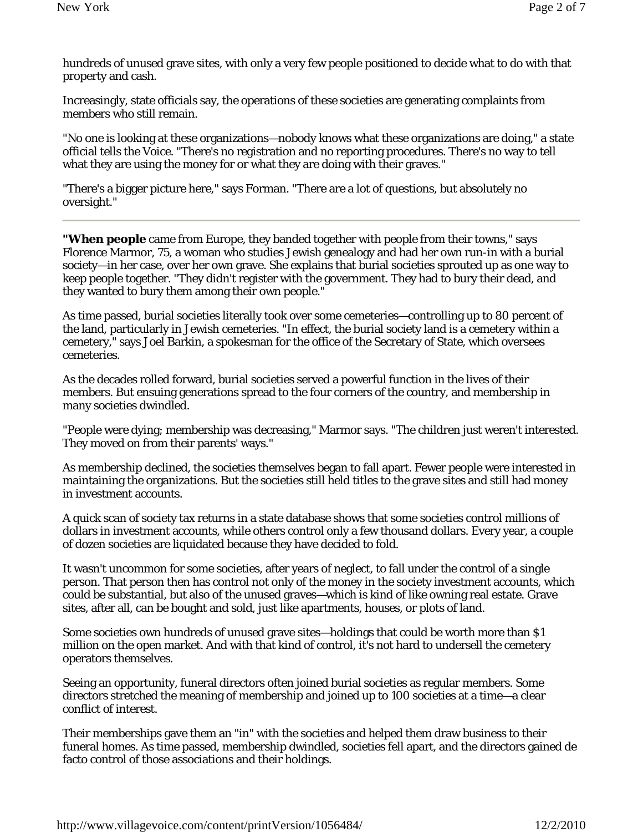hundreds of unused grave sites, with only a very few people positioned to decide what to do with that property and cash.

Increasingly, state officials say, the operations of these societies are generating complaints from members who still remain.

"No one is looking at these organizations—nobody knows what these organizations are doing," a state official tells the *Voice*. "There's no registration and no reporting procedures. There's no way to tell what they are using the money for or what they are doing with their graves."

"There's a bigger picture here," says Forman. "There are a lot of questions, but absolutely no oversight."

**"When people** came from Europe, they banded together with people from their towns," says Florence Marmor, 75, a woman who studies Jewish genealogy and had her own run-in with a burial society—in her case, over her own grave. She explains that burial societies sprouted up as one way to keep people together. "They didn't register with the government. They had to bury their dead, and they wanted to bury them among their own people."

As time passed, burial societies literally took over some cemeteries—controlling up to 80 percent of the land, particularly in Jewish cemeteries. "In effect, the burial society land is a cemetery within a cemetery," says Joel Barkin, a spokesman for the office of the Secretary of State, which oversees cemeteries.

As the decades rolled forward, burial societies served a powerful function in the lives of their members. But ensuing generations spread to the four corners of the country, and membership in many societies dwindled.

"People were dying; membership was decreasing," Marmor says. "The children just weren't interested. They moved on from their parents' ways."

As membership declined, the societies themselves began to fall apart. Fewer people were interested in maintaining the organizations. But the societies still held titles to the grave sites and still had money in investment accounts.

A quick scan of society tax returns in a state database shows that some societies control millions of dollars in investment accounts, while others control only a few thousand dollars. Every year, a couple of dozen societies are liquidated because they have decided to fold.

It wasn't uncommon for some societies, after years of neglect, to fall under the control of a single person. That person then has control not only of the money in the society investment accounts, which could be substantial, but also of the unused graves—which is kind of like owning real estate. Grave sites, after all, can be bought and sold, just like apartments, houses, or plots of land.

Some societies own hundreds of unused grave sites—holdings that could be worth more than \$1 million on the open market. And with that kind of control, it's not hard to undersell the cemetery operators themselves.

Seeing an opportunity, funeral directors often joined burial societies as regular members. Some directors stretched the meaning of membership and joined up to 100 societies at a time—a clear conflict of interest.

Their memberships gave them an "in" with the societies and helped them draw business to their funeral homes. As time passed, membership dwindled, societies fell apart, and the directors gained de facto control of those associations and their holdings.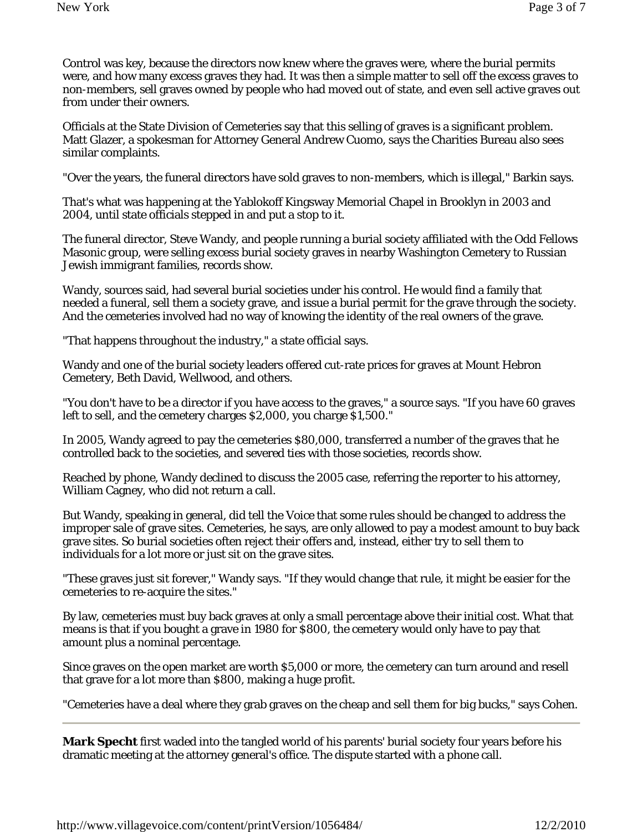Control was key, because the directors now knew where the graves were, where the burial permits were, and how many excess graves they had. It was then a simple matter to sell off the excess graves to non-members, sell graves owned by people who had moved out of state, and even sell active graves out from under their owners.

Officials at the State Division of Cemeteries say that this selling of graves is a significant problem. Matt Glazer, a spokesman for Attorney General Andrew Cuomo, says the Charities Bureau also sees similar complaints.

"Over the years, the funeral directors have sold graves to non-members, which is illegal," Barkin says.

That's what was happening at the Yablokoff Kingsway Memorial Chapel in Brooklyn in 2003 and 2004, until state officials stepped in and put a stop to it.

The funeral director, Steve Wandy, and people running a burial society affiliated with the Odd Fellows Masonic group, were selling excess burial society graves in nearby Washington Cemetery to Russian Jewish immigrant families, records show.

Wandy, sources said, had several burial societies under his control. He would find a family that needed a funeral, sell them a society grave, and issue a burial permit for the grave through the society. And the cemeteries involved had no way of knowing the identity of the real owners of the grave.

"That happens throughout the industry," a state official says.

Wandy and one of the burial society leaders offered cut-rate prices for graves at Mount Hebron Cemetery, Beth David, Wellwood, and others.

"You don't have to be a director if you have access to the graves," a source says. "If you have 60 graves left to sell, and the cemetery charges \$2,000, you charge \$1,500."

In 2005, Wandy agreed to pay the cemeteries \$80,000, transferred a number of the graves that he controlled back to the societies, and severed ties with those societies, records show.

Reached by phone, Wandy declined to discuss the 2005 case, referring the reporter to his attorney, William Cagney, who did not return a call.

But Wandy, speaking in general, did tell the *Voice* that some rules should be changed to address the improper sale of grave sites. Cemeteries, he says, are only allowed to pay a modest amount to buy back grave sites. So burial societies often reject their offers and, instead, either try to sell them to individuals for a lot more or just sit on the grave sites.

"These graves just sit forever," Wandy says. "If they would change that rule, it might be easier for the cemeteries to re-acquire the sites."

By law, cemeteries must buy back graves at only a small percentage above their initial cost. What that means is that if you bought a grave in 1980 for \$800, the cemetery would only have to pay that amount plus a nominal percentage.

Since graves on the open market are worth \$5,000 or more, the cemetery can turn around and resell that grave for a lot more than \$800, making a huge profit.

"Cemeteries have a deal where they grab graves on the cheap and sell them for big bucks," says Cohen.

**Mark Specht** first waded into the tangled world of his parents' burial society four years before his dramatic meeting at the attorney general's office. The dispute started with a phone call.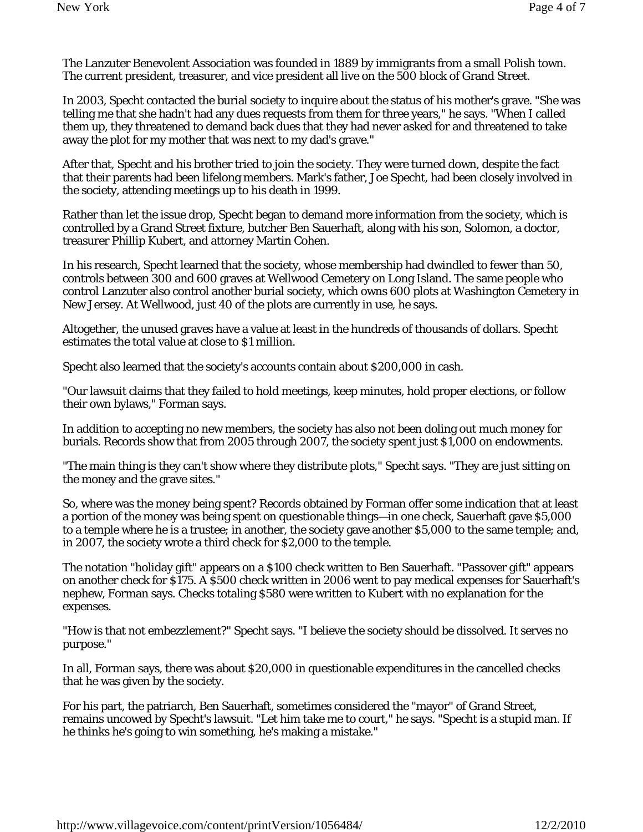The Lanzuter Benevolent Association was founded in 1889 by immigrants from a small Polish town. The current president, treasurer, and vice president all live on the 500 block of Grand Street.

In 2003, Specht contacted the burial society to inquire about the status of his mother's grave. "She was telling me that she hadn't had any dues requests from them for three years," he says. "When I called them up, they threatened to demand back dues that they had never asked for and threatened to take away the plot for my mother that was next to my dad's grave."

After that, Specht and his brother tried to join the society. They were turned down, despite the fact that their parents had been lifelong members. Mark's father, Joe Specht, had been closely involved in the society, attending meetings up to his death in 1999.

Rather than let the issue drop, Specht began to demand more information from the society, which is controlled by a Grand Street fixture, butcher Ben Sauerhaft, along with his son, Solomon, a doctor, treasurer Phillip Kubert, and attorney Martin Cohen.

In his research, Specht learned that the society, whose membership had dwindled to fewer than 50, controls between 300 and 600 graves at Wellwood Cemetery on Long Island. The same people who control Lanzuter also control another burial society, which owns 600 plots at Washington Cemetery in New Jersey. At Wellwood, just 40 of the plots are currently in use, he says.

Altogether, the unused graves have a value at least in the hundreds of thousands of dollars. Specht estimates the total value at close to \$1 million.

Specht also learned that the society's accounts contain about \$200,000 in cash.

"Our lawsuit claims that they failed to hold meetings, keep minutes, hold proper elections, or follow their own bylaws," Forman says.

In addition to accepting no new members, the society has also not been doling out much money for burials. Records show that from 2005 through 2007, the society spent just \$1,000 on endowments.

"The main thing is they can't show where they distribute plots," Specht says. "They are just sitting on the money and the grave sites."

So, where was the money being spent? Records obtained by Forman offer some indication that at least a portion of the money was being spent on questionable things—in one check, Sauerhaft gave \$5,000 to a temple where he is a trustee; in another, the society gave another \$5,000 to the same temple; and, in 2007, the society wrote a third check for \$2,000 to the temple.

The notation "holiday gift" appears on a \$100 check written to Ben Sauerhaft. "Passover gift" appears on another check for \$175. A \$500 check written in 2006 went to pay medical expenses for Sauerhaft's nephew, Forman says. Checks totaling \$580 were written to Kubert with no explanation for the expenses.

"How is that not embezzlement?" Specht says. "I believe the society should be dissolved. It serves no purpose."

In all, Forman says, there was about \$20,000 in questionable expenditures in the cancelled checks that he was given by the society.

For his part, the patriarch, Ben Sauerhaft, sometimes considered the "mayor" of Grand Street, remains uncowed by Specht's lawsuit. "Let him take me to court," he says. "Specht is a stupid man. If he thinks he's going to win something, he's making a mistake."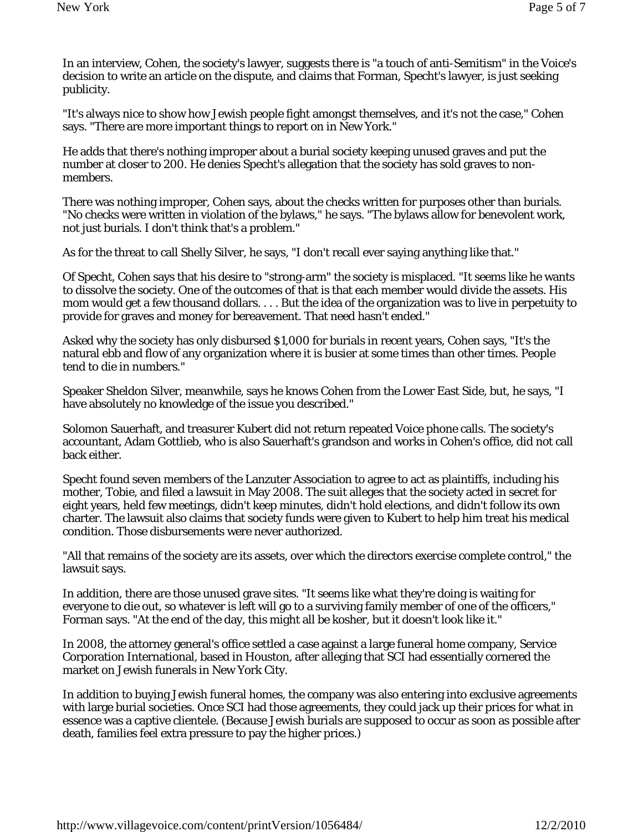In an interview, Cohen, the society's lawyer, suggests there is "a touch of anti-Semitism" in the *Voice*'s decision to write an article on the dispute, and claims that Forman, Specht's lawyer, is just seeking publicity.

"It's always nice to show how Jewish people fight amongst themselves, and it's not the case," Cohen says. "There are more important things to report on in New York."

He adds that there's nothing improper about a burial society keeping unused graves and put the number at closer to 200. He denies Specht's allegation that the society has sold graves to nonmembers.

There was nothing improper, Cohen says, about the checks written for purposes other than burials. "No checks were written in violation of the bylaws," he says. "The bylaws allow for benevolent work, not just burials. I don't think that's a problem."

As for the threat to call Shelly Silver, he says, "I don't recall ever saying anything like that."

Of Specht, Cohen says that his desire to "strong-arm" the society is misplaced. "It seems like he wants to dissolve the society. One of the outcomes of that is that each member would divide the assets. His mom would get a few thousand dollars. . . . But the idea of the organization was to live in perpetuity to provide for graves and money for bereavement. That need hasn't ended."

Asked why the society has only disbursed \$1,000 for burials in recent years, Cohen says, "It's the natural ebb and flow of any organization where it is busier at some times than other times. People tend to die in numbers."

Speaker Sheldon Silver, meanwhile, says he knows Cohen from the Lower East Side, but, he says, "I have absolutely no knowledge of the issue you described."

Solomon Sauerhaft, and treasurer Kubert did not return repeated *Voice* phone calls. The society's accountant, Adam Gottlieb, who is also Sauerhaft's grandson and works in Cohen's office, did not call back either.

Specht found seven members of the Lanzuter Association to agree to act as plaintiffs, including his mother, Tobie, and filed a lawsuit in May 2008. The suit alleges that the society acted in secret for eight years, held few meetings, didn't keep minutes, didn't hold elections, and didn't follow its own charter. The lawsuit also claims that society funds were given to Kubert to help him treat his medical condition. Those disbursements were never authorized.

"All that remains of the society are its assets, over which the directors exercise complete control," the lawsuit says.

In addition, there are those unused grave sites. "It seems like what they're doing is waiting for everyone to die out, so whatever is left will go to a surviving family member of one of the officers," Forman says. "At the end of the day, this might all be kosher, but it doesn't look like it."

In 2008, the attorney general's office settled a case against a large funeral home company, Service Corporation International, based in Houston, after alleging that SCI had essentially cornered the market on Jewish funerals in New York City.

In addition to buying Jewish funeral homes, the company was also entering into exclusive agreements with large burial societies. Once SCI had those agreements, they could jack up their prices for what in essence was a captive clientele. (Because Jewish burials are supposed to occur as soon as possible after death, families feel extra pressure to pay the higher prices.)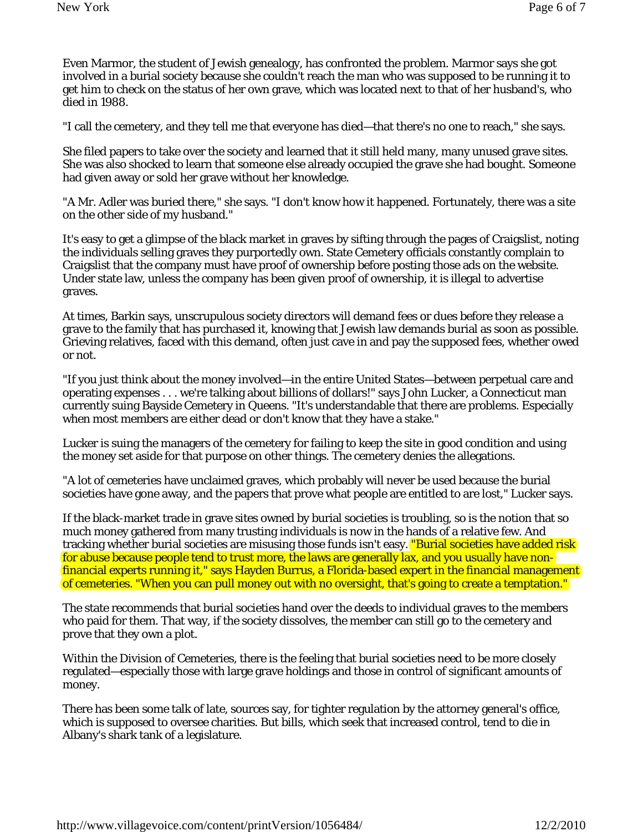Even Marmor, the student of Jewish genealogy, has confronted the problem. Marmor says she got involved in a burial society because she couldn't reach the man who was supposed to be running it to get him to check on the status of her own grave, which was located next to that of her husband's, who died in 1988.

"I call the cemetery, and they tell me that everyone has died—that there's no one to reach," she says.

She filed papers to take over the society and learned that it still held many, many unused grave sites. She was also shocked to learn that someone else already occupied the grave she had bought. Someone had given away or sold her grave without her knowledge.

"A Mr. Adler was buried there," she says. "I don't know how it happened. Fortunately, there was a site on the other side of my husband."

It's easy to get a glimpse of the black market in graves by sifting through the pages of Craigslist, noting the individuals selling graves they purportedly own. State Cemetery officials constantly complain to Craigslist that the company must have proof of ownership before posting those ads on the website. Under state law, unless the company has been given proof of ownership, it is illegal to advertise graves.

At times, Barkin says, unscrupulous society directors will demand fees or dues before they release a grave to the family that has purchased it, knowing that Jewish law demands burial as soon as possible. Grieving relatives, faced with this demand, often just cave in and pay the supposed fees, whether owed or not.

"If you just think about the money involved—in the entire United States—between perpetual care and operating expenses . . . we're talking about billions of dollars!" says John Lucker, a Connecticut man currently suing Bayside Cemetery in Queens. "It's understandable that there are problems. Especially when most members are either dead or don't know that they have a stake."

Lucker is suing the managers of the cemetery for failing to keep the site in good condition and using the money set aside for that purpose on other things. The cemetery denies the allegations.

"A lot of cemeteries have unclaimed graves, which probably will never be used because the burial societies have gone away, and the papers that prove what people are entitled to are lost," Lucker says.

If the black-market trade in grave sites owned by burial societies is troubling, so is the notion that so much money gathered from many trusting individuals is now in the hands of a relative few. And tracking whether burial societies are misusing those funds isn't easy. **"Burial societies have added risk** for abuse because people tend to trust more, the laws are generally lax, and you usually have nonfinancial experts running it," says Hayden Burrus, a Florida-based expert in the financial management of cemeteries. "When you can pull money out with no oversight, that's going to create a temptation."

The state recommends that burial societies hand over the deeds to individual graves to the members who paid for them. That way, if the society dissolves, the member can still go to the cemetery and prove that they own a plot.

Within the Division of Cemeteries, there is the feeling that burial societies need to be more closely regulated—especially those with large grave holdings and those in control of significant amounts of money.

There has been some talk of late, sources say, for tighter regulation by the attorney general's office, which is supposed to oversee charities. But bills, which seek that increased control, tend to die in Albany's shark tank of a legislature.